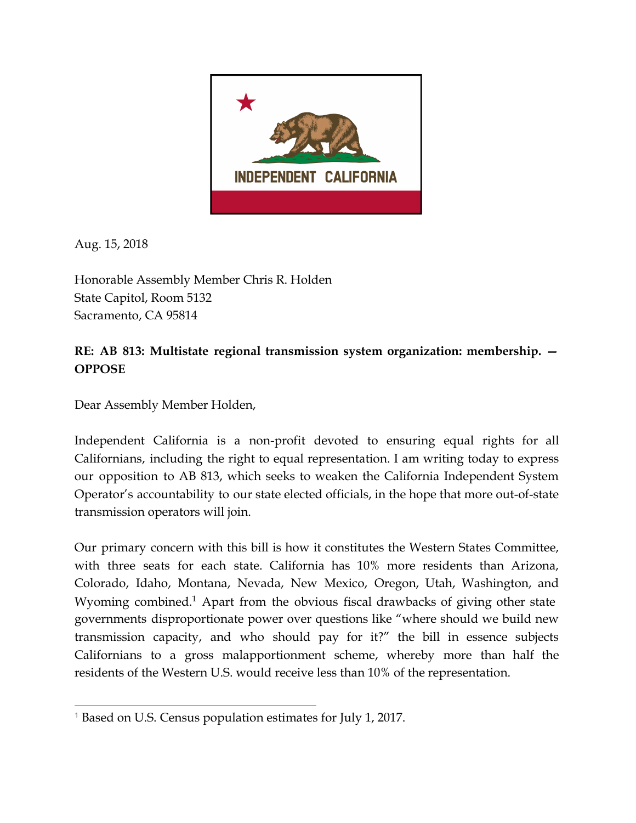

Aug. 15, 2018

Honorable Assembly Member Chris R. Holden State Capitol, Room 5132 Sacramento, CA 95814

## **RE: AB 813: Multistate regional transmission system organization: membership. — OPPOSE**

Dear Assembly Member Holden,

Independent California is a non-profit devoted to ensuring equal rights for all Californians, including the right to equal representation. I am writing today to express our opposition to AB 813, which seeks to weaken the California Independent System Operator's accountability to our state elected officials, in the hope that more out-of-state transmission operators will join.

Our primary concern with this bill is how it constitutes the Western States Committee, with three seats for each state. California has 10% more residents than Arizona, Colorado, Idaho, Montana, Nevada, New Mexico, Oregon, Utah, Washington, and Wyoming combined.<sup>1</sup> Apart from the obvious fiscal drawbacks of giving other state governments disproportionate power over questions like "where should we build new transmission capacity, and who should pay for it?" the bill in essence subjects Californians to a gross malapportionment scheme, whereby more than half the residents of the Western U.S. would receive less than 10% of the representation.

<sup>1</sup> Based on U.S. Census population estimates for July 1, 2017.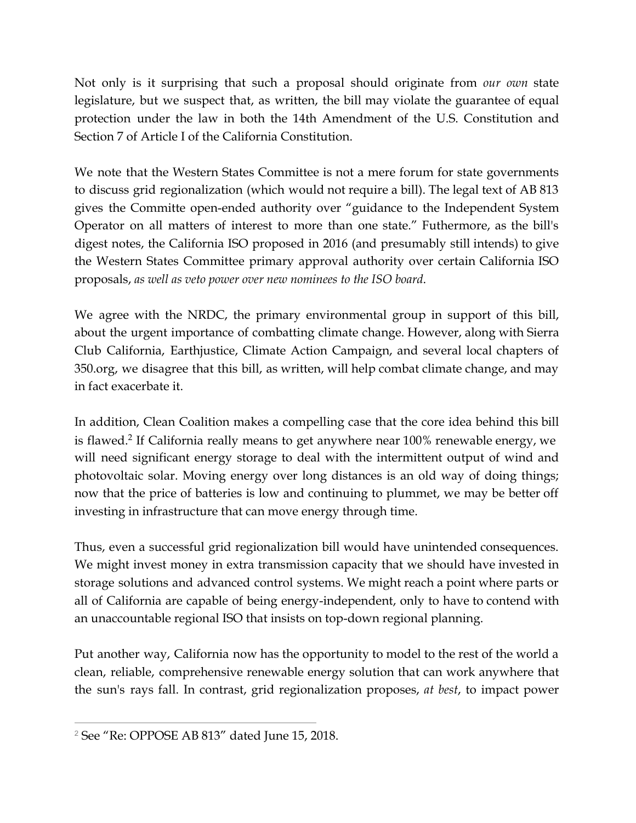Not only is it surprising that such a proposal should originate from *our own* state legislature, but we suspect that, as written, the bill may violate the guarantee of equal protection under the law in both the 14th Amendment of the U.S. Constitution and Section 7 of Article I of the California Constitution.

We note that the Western States Committee is not a mere forum for state governments to discuss grid regionalization (which would not require a bill). The legal text of AB 813 gives the Committe open-ended authority over "guidance to the Independent System Operator on all matters of interest to more than one state." Futhermore, as the bill's digest notes, the California ISO proposed in 2016 (and presumably still intends) to give the Western States Committee primary approval authority over certain California ISO proposals, *as well as veto power over new nominees to the ISO board*.

We agree with the NRDC, the primary environmental group in support of this bill, about the urgent importance of combatting climate change. However, along with Sierra Club California, Earthjustice, Climate Action Campaign, and several local chapters of 350.org, we disagree that this bill, as written, will help combat climate change, and may in fact exacerbate it.

In addition, Clean Coalition makes a compelling case that the core idea behind this bill is flawed.<sup>2</sup> If California really means to get anywhere near  $100\%$  renewable energy, we will need significant energy storage to deal with the intermittent output of wind and photovoltaic solar. Moving energy over long distances is an old way of doing things; now that the price of batteries is low and continuing to plummet, we may be better off investing in infrastructure that can move energy through time.

Thus, even a successful grid regionalization bill would have unintended consequences. We might invest money in extra transmission capacity that we should have invested in storage solutions and advanced control systems. We might reach a point where parts or all of California are capable of being energy-independent, only to have to contend with an unaccountable regional ISO that insists on top-down regional planning.

Put another way, California now has the opportunity to model to the rest of the world a clean, reliable, comprehensive renewable energy solution that can work anywhere that the sun's rays fall. In contrast, grid regionalization proposes, *at best*, to impact power

<sup>2</sup> See "Re: OPPOSE AB 813" dated June 15, 2018.